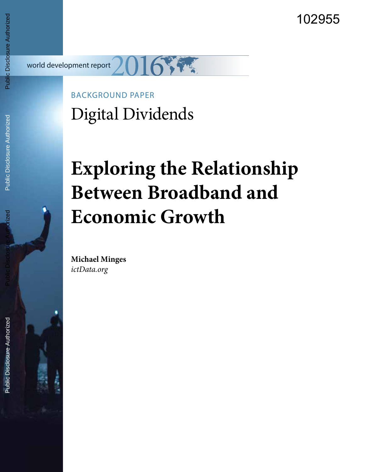102955

world development report

# BACKGROUND PAPER Digital Dividends

# **Exploring the Relationship Between Broadband and Economic Growth**

**Michael Minges** *ictData.org*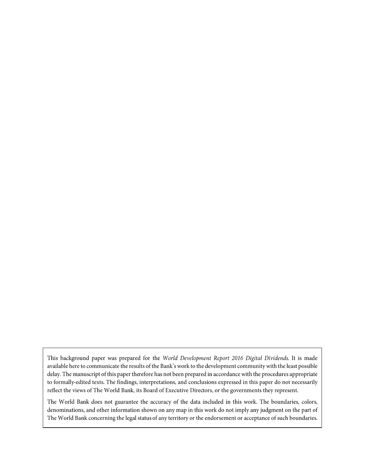This background paper was prepared for the World Development Report 2016 Digital Dividends. It is made available here to communicate the results of the Bank's work to the development community with the least possible delay. The manuscript of this paper therefore has not been prepared in accordance with the procedures appropriate to formally-edited texts. The findings, interpretations, and conclusions expressed in this paper do not necessarily reflect the views of The World Bank, its Board of Executive Directors, or the governments they represent.

The World Bank does not guarantee the accuracy of the data included in this work. The boundaries, colors, denominations, and other information shown on any map in this work do not imply any judgment on the part of The World Bank concerning the legal status of any territory or the endorsement or acceptance of such boundaries.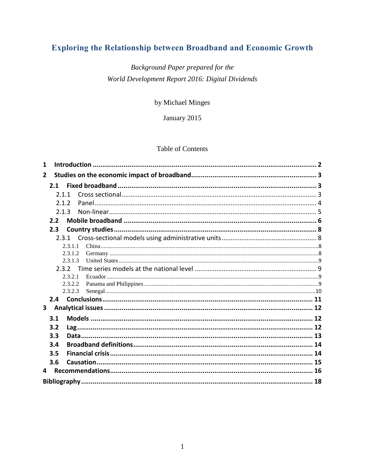# **Exploring the Relationship between Broadband and Economic Growth**

## Background Paper prepared for the World Development Report 2016: Digital Dividends

#### by Michael Minges

January 2015

#### **Table of Contents**

| 1              |         |  |  |  |  |  |
|----------------|---------|--|--|--|--|--|
| $\overline{2}$ |         |  |  |  |  |  |
|                | 2.1     |  |  |  |  |  |
|                | 2.1.1   |  |  |  |  |  |
|                | 2.1.2   |  |  |  |  |  |
|                | 2.1.3   |  |  |  |  |  |
|                | 2.2     |  |  |  |  |  |
|                | 2.3     |  |  |  |  |  |
|                | 2.3.1   |  |  |  |  |  |
|                | 2.3.1.1 |  |  |  |  |  |
|                | 2.3.1.2 |  |  |  |  |  |
|                | 2.3.1.3 |  |  |  |  |  |
|                | 2.3.2   |  |  |  |  |  |
|                | 2.3.2.1 |  |  |  |  |  |
|                | 2.3.2.2 |  |  |  |  |  |
|                | 2.3.2.3 |  |  |  |  |  |
|                |         |  |  |  |  |  |
| 3              |         |  |  |  |  |  |
|                | 3.1     |  |  |  |  |  |
|                | 3.2     |  |  |  |  |  |
|                | 3.3     |  |  |  |  |  |
|                | 3.4     |  |  |  |  |  |
|                | 3.5     |  |  |  |  |  |
|                | 3.6     |  |  |  |  |  |
|                |         |  |  |  |  |  |
| 4              |         |  |  |  |  |  |
|                |         |  |  |  |  |  |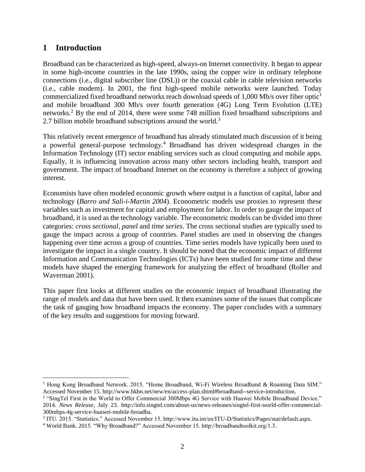#### **1 Introduction**

Broadband can be characterized as high-speed, always-on Internet connectivity. It began to appear in some high-income countries in the late 1990s, using the copper wire in ordinary telephone connections (i.e., digital subscriber line (DSL)) or the coaxial cable in cable television networks (i.e., cable modem). In 2001, the first high-speed mobile networks were launched. Today commercialized fixed broadband networks reach download speeds of 1,000 Mb/s over fiber optic<sup>1</sup> and mobile broadband 300 Mb/s over fourth generation (4G) Long Term Evolution (LTE) networks.<sup>2</sup> By the end of 2014, there were some 748 million fixed broadband subscriptions and 2.7 billion mobile broadband subscriptions around the world.<sup>3</sup>

This relatively recent emergence of broadband has already stimulated much discussion of it being a powerful general-purpose technology.<sup>4</sup> Broadband has driven widespread changes in the Information Technology (IT) sector enabling services such as cloud computing and mobile apps. Equally, it is influencing innovation across many other sectors including health, transport and government. The impact of broadband Internet on the economy is therefore a subject of growing interest.

Economists have often modeled economic growth where output is a function of capital, labor and technology (*Barro and Sali-i-Martin 2004*). Econometric models use proxies to represent these variables such as investment for capital and employment for labor. In order to gauge the impact of broadband, it is used as the technology variable. The econometric models can be divided into three categories: *cross sectional, panel* and *time series*. The cross sectional studies are typically used to gauge the impact across a group of countries. Panel studies are used in observing the changes happening over time across a group of countries. Time series models have typically been used to investigate the impact in a single country. It should be noted that the economic impact of different Information and Communication Technologies (ICTs) have been studied for some time and these models have shaped the emerging framework for analyzing the effect of broadband (Roller and Waverman 2001).

This paper first looks at different studies on the economic impact of broadband illustrating the range of models and data that have been used. It then examines some of the issues that complicate the task of gauging how broadband impacts the economy. The paper concludes with a summary of the key results and suggestions for moving forward.

 $\overline{a}$ <sup>1</sup> Hong Kong Broadband Network. 2015. "Home Broadband, Wi-Fi Wireless Broadband & Roaming Data SIM." Accessed November 15. http://www.hkbn.net/new/en/access-plan.shtml#broadband--service-introduction.

<sup>&</sup>lt;sup>2</sup> "SingTel First in the World to Offer Commercial 300Mbps 4G Service with Huawei Mobile Broadband Device." 2014. *News Release*, July 23. http://info.singtel.com/about-us/news-releases/singtel-first-world-offer-commercial-300mbps-4g-service-huawei-mobile-broadba.

<sup>&</sup>lt;sup>3</sup> ITU. 2015. "Statistics." Accessed November 15. http://www.itu.int/en/ITU-D/Statistics/Pages/stat/default.aspx.

<sup>4</sup> World Bank. 2015. "Why Broadband?" Accessed November 15. http://broadbandtoolkit.org/1.3.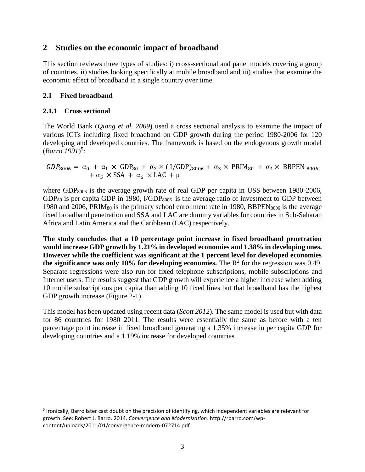#### **2 Studies on the economic impact of broadband**

This section reviews three types of studies: i) cross-sectional and panel models covering a group of countries, ii) studies looking specifically at mobile broadband and iii) studies that examine the economic effect of broadband in a single country over time.

#### **2.1 Fixed broadband**

#### **2.1.1 Cross sectional**

 $\overline{a}$ 

The World Bank (*Qiang et al. 2009*) used a cross sectional analysis to examine the impact of various ICTs including fixed broadband on GDP growth during the period 1980-2006 for 120 developing and developed countries. The framework is based on the endogenous growth model (*Barro 1991*) 5 :

 $GDP_{8006} = \alpha_0 + \alpha_1 \times GDP_{80} + \alpha_2 \times (I/GDP)_{8006} + \alpha_3 \times PRIM_{80} + \alpha_4 \times BBPEN_{8006}$  $+\alpha_5 \times$  SSA  $+\alpha_6 \times$  LAC  $+\mu$ 

where  $GDP<sub>8006</sub>$  is the average growth rate of real GDP per capita in US\$ between 1980-2006,  $GDP<sub>80</sub>$  is per capita GDP in 1980, I/GDP<sub>8006</sub> is the average ratio of investment to GDP between 1980 and 2006, PRIM $_{80}$  is the primary school enrollment rate in 1980, BBPEN $_{8006}$  is the average fixed broadband penetration and SSA and LAC are dummy variables for countries in Sub-Saharan Africa and Latin America and the Caribbean (LAC) respectively.

**The study concludes that a 10 percentage point increase in fixed broadband penetration would increase GDP growth by 1.21% in developed economies and 1.38% in developing ones. However while the coefficient was significant at the 1 percent level for developed economies**  the significance was only 10% for developing economies. The  $R^2$  for the regression was 0.49. Separate regressions were also run for fixed telephone subscriptions, mobile subscriptions and Internet users. The results suggest that GDP growth will experience a higher increase when adding 10 mobile subscriptions per capita than adding 10 fixed lines but that broadband has the highest GDP growth increase [\(Figure 2-1\)](#page-5-0).

This model has been updated using recent data (*Scott 2012*). The same model is used but with data for 86 countries for 1980–2011. The results were essentially the same as before with a ten percentage point increase in fixed broadband generating a 1.35% increase in per capita GDP for developing countries and a 1.19% increase for developed countries.

<sup>&</sup>lt;sup>5</sup> Ironically, Barro later cast doubt on the precision of identifying, which independent variables are relevant for growth. See: Robert J. Barro. 2014. *Convergence and Modernization*. http://rbarro.com/wpcontent/uploads/2011/01/convergence-modern-072714.pdf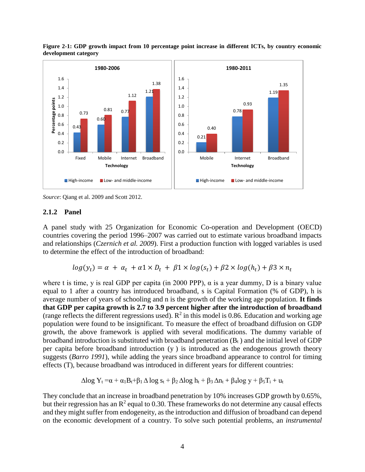

<span id="page-5-0"></span>**Figure 2-1: GDP growth impact from 10 percentage point increase in different ICTs, by country economic development category**

*Source*: Qiang et al. 2009 and Scott 2012.

#### **2.1.2 Panel**

A panel study with 25 Organization for Economic Co-operation and Development (OECD) countries covering the period 1996–2007 was carried out to estimate various broadband impacts and relationships (*Czernich et al. 2009*). First a production function with logged variables is used to determine the effect of the introduction of broadband:

$$
log(y_t) = \alpha + \alpha_t + \alpha_1 \times D_t + \beta_1 \times log(s_t) + \beta_2 \times log(h_t) + \beta_3 \times n_t
$$

where t is time, y is real GDP per capita (in 2000 PPP),  $\alpha$  is a year dummy, D is a binary value equal to 1 after a country has introduced broadband, s is Capital Formation (% of GDP), h is average number of years of schooling and n is the growth of the working age population. **It finds that GDP per capita growth is 2.7 to 3.9 percent higher after the introduction of broadband** (range reflects the different regressions used).  $R^2$  in this model is 0.86. Education and working age population were found to be insignificant. To measure the effect of broadband diffusion on GDP growth, the above framework is applied with several modifications. The dummy variable of broadband introduction is substituted with broadband penetration  $(B_t)$  and the initial level of GDP per capita before broadband introduction (y ) is introduced as the endogenous growth theory suggests (*Barro 1991*), while adding the years since broadband appearance to control for timing effects (T), because broadband was introduced in different years for different countries:

$$
\Delta log Y_t = \alpha + \alpha_1 B_t + \beta_1 \Delta log s_t + \beta_2 \Delta log h_t + \beta_3 \Delta n_t + \beta_4 log y + \beta_5 T_i + u_t
$$

They conclude that an increase in broadband penetration by 10% increases GDP growth by 0.65%, but their regression has an  $\mathbb{R}^2$  equal to 0.30. These frameworks do not determine any causal effects and they might suffer from endogeneity, as the introduction and diffusion of broadband can depend on the economic development of a country. To solve such potential problems, an *instrumental*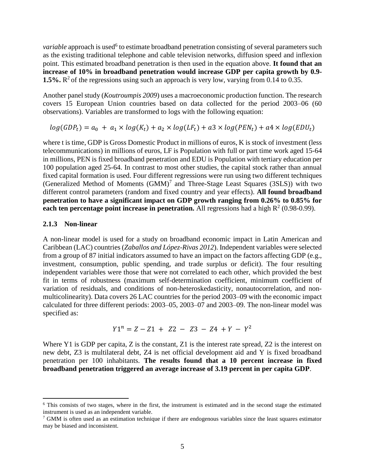variable approach is used<sup>6</sup> to estimate broadband penetration consisting of several parameters such as the existing traditional telephone and cable television networks, diffusion speed and inflexion point. This estimated broadband penetration is then used in the equation above. **It found that an increase of 10% in broadband penetration would increase GDP per capita growth by 0.9-** 1.5%.  $\mathbb{R}^2$  of the regressions using such an approach is very low, varying from 0.14 to 0.35.

Another panel study (*Koutroumpis 2009*) uses a macroeconomic production function. The research covers 15 European Union countries based on data collected for the period 2003–06 (60 observations). Variables are transformed to logs with the following equation:

 $log(GDP_t) = a_0 + a_1 \times log(K_t) + a_2 \times log(LF_t) + a_3 \times log(PEN_t) + a_4 \times log(EDU_t)$ 

where t is time, GDP is Gross Domestic Product in millions of euros, K is stock of investment (less telecommunications) in millions of euros, LF is Population with full or part time work aged 15-64 in millions, PEN is fixed broadband penetration and EDU is Population with tertiary education per 100 population aged 25-64. In contrast to most other studies, the capital stock rather than annual fixed capital formation is used. Four different regressions were run using two different techniques (Generalized Method of Moments  $(GMM)^7$  and Three-Stage Least Squares (3SLS)) with two different control parameters (random and fixed country and year effects). **All found broadband penetration to have a significant impact on GDP growth ranging from 0.26% to 0.85% for each ten percentage point increase in penetration.** All regressions had a high  $R^2$  (0.98-0.99).

#### **2.1.3 Non-linear**

 $\overline{a}$ 

A non-linear model is used for a study on broadband economic impact in Latin American and Caribbean (LAC) countries (*Zaballos and López-Rivas 2012*). Independent variables were selected from a group of 87 initial indicators assumed to have an impact on the factors affecting GDP (e.g., investment, consumption, public spending, and trade surplus or deficit). The four resulting independent variables were those that were not correlated to each other, which provided the best fit in terms of robustness (maximum self-determination coefficient, minimum coefficient of variation of residuals, and conditions of non-heteroskedasticity, nonautocorrelation, and nonmulticolinearity). Data covers 26 LAC countries for the period 2003–09 with the economic impact calculated for three different periods: 2003–05, 2003–07 and 2003–09. The non-linear model was specified as:

$$
Y1^n = Z - Z1 + Z2 - Z3 - Z4 + Y - Y^2
$$

Where Y1 is GDP per capita, Z is the constant, Z1 is the interest rate spread, Z2 is the interest on new debt, Z3 is multilateral debt, Z4 is net official development aid and Y is fixed broadband penetration per 100 inhabitants. **The results found that a 10 percent increase in fixed broadband penetration triggered an average increase of 3.19 percent in per capita GDP**.

<sup>&</sup>lt;sup>6</sup> This consists of two stages, where in the first, the instrument is estimated and in the second stage the estimated instrument is used as an independent variable.

 $7$  GMM is often used as an estimation technique if there are endogenous variables since the least squares estimator may be biased and inconsistent.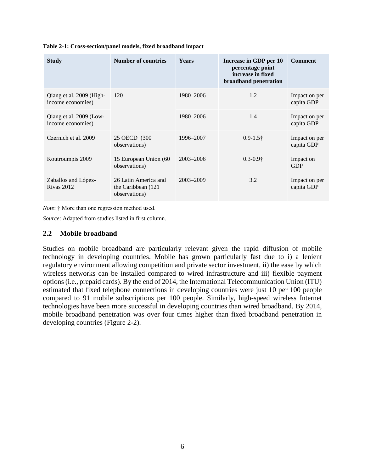| <b>Study</b>                                  | <b>Number of countries</b>                                   | Years         | Increase in GDP per 10<br>percentage point<br>increase in fixed<br>broadband penetration | <b>Comment</b>              |
|-----------------------------------------------|--------------------------------------------------------------|---------------|------------------------------------------------------------------------------------------|-----------------------------|
| Qiang et al. 2009 (High-<br>income economies) | 120                                                          | 1980–2006     | 1.2                                                                                      | Impact on per<br>capita GDP |
| Qiang et al. 2009 (Low-<br>income economies)  |                                                              | 1980–2006     | 1.4                                                                                      | Impact on per<br>capita GDP |
| Czernich et al. 2009                          | 25 OECD (300)<br>observations)                               | 1996–2007     | $0.9 - 1.5\dagger$                                                                       | Impact on per<br>capita GDP |
| Koutroumpis 2009                              | 15 European Union (60<br>observations)                       | $2003 - 2006$ | $0.3 - 0.9$ †                                                                            | Impact on<br><b>GDP</b>     |
| Zaballos and López-<br><b>Rivas 2012</b>      | 26 Latin America and<br>the Caribbean (121)<br>observations) | 2003-2009     | 3.2                                                                                      | Impact on per<br>capita GDP |

**Table 2-1: Cross-section/panel models, fixed broadband impact**

*Note*: † More than one regression method used.

*Source*: Adapted from studies listed in first column.

#### **2.2 Mobile broadband**

Studies on mobile broadband are particularly relevant given the rapid diffusion of mobile technology in developing countries. Mobile has grown particularly fast due to i) a lenient regulatory environment allowing competition and private sector investment, ii) the ease by which wireless networks can be installed compared to wired infrastructure and iii) flexible payment options (i.e., prepaid cards). By the end of 2014, the International Telecommunication Union (ITU) estimated that fixed telephone connections in developing countries were just 10 per 100 people compared to 91 mobile subscriptions per 100 people. Similarly, high-speed wireless Internet technologies have been more successful in developing countries than wired broadband. By 2014, mobile broadband penetration was over four times higher than fixed broadband penetration in developing countries (Figure 2-2).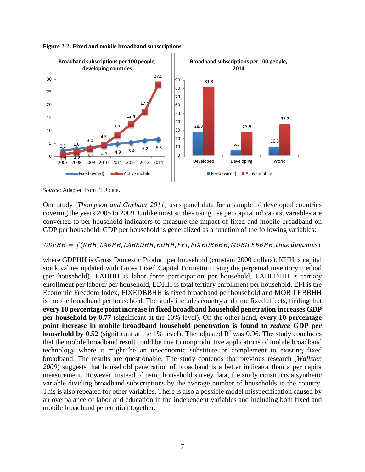

**Figure 2-2: Fixed and mobile broadband subscriptions**

*Source*: Adapted from ITU data.

One study (*Thompson and Garbacz 2011*) uses panel data for a sample of developed countries covering the years 2005 to 2009. Unlike most studies using use per capita indicators, variables are converted to per household indicators to measure the impact of fixed and mobile broadband on GDP per household. GDP per household is generalized as a function of the following variables:

#### $GDPHH = f(KHH, LABHH, LABEDHH, EDHH, EFI, FIXEDBBHH, MOBILEBBHH, time \, dummies)$

where GDPHH is Gross Domestic Product per household (constant 2000 dollars), KHH is capital stock values updated with Gross Fixed Capital Formation using the perpetual inventory method (per household), LABHH is labor force participation per household, LABEDHH is tertiary enrollment per laborer per household, EDHH is total tertiary enrollment per household, EFI is the Economic Freedom Index, FIXEDBBHH is fixed broadband per household and MOBILEBBHH is mobile broadband per household. The study includes country and time fixed effects, finding that **every 10 percentage point increase in fixed broadband household penetration increases GDP per household by 0.77** (significant at the 10% level). On the other hand, **every 10 percentage point increase in mobile broadband household penetration is found to** *reduce* **GDP per household by 0.52** (significant at the 1% level). The adjusted  $\mathbb{R}^2$  was 0.96. The study concludes that the mobile broadband result could be due to nonproductive applications of mobile broadband technology where it might be an uneconomic substitute or complement to existing fixed broadband. The results are questionable. The study contends that previous research (*Wallsten 2009*) suggests that household penetration of broadband is a better indicator than a per capita measurement. However, instead of using household survey data, the study constructs a synthetic variable dividing broadband subscriptions by the average number of households in the country. This is also repeated for other variables. There is also a possible model misspecification caused by an overbalance of labor and education in the independent variables and including both fixed and mobile broadband penetration together.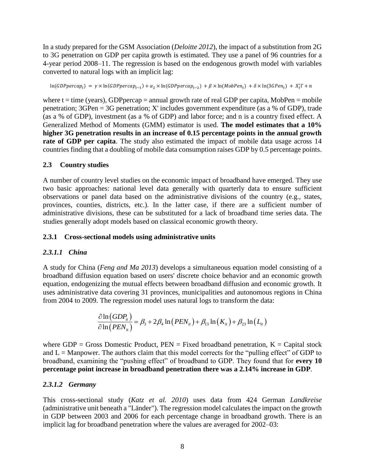In a study prepared for the GSM Association (*Deloitte 2012*), the impact of a substitution from 2G to 3G penetration on GDP per capita growth is estimated. They use a panel of 96 countries for a 4-year period 2008–11. The regression is based on the endogenous growth model with variables converted to natural logs with an implicit lag:

ln(GDPpercap<sub>t</sub>) =  $\gamma \times \ln(GDPpercap_{t-1}) + \alpha_2 \times \ln(GDPpercap_{t-2}) + \beta \times \ln(MobPen_t) + \delta \times \ln(3GPen_t) + X_t^T \Gamma + n$ 

where  $t = time$  (years), GDP percap = annual growth rate of real GDP per capita, MobPen = mobile penetration;  $3GPen = 3G$  penetration; X' includes government expenditure (as a % of GDP), trade (as a % of GDP), investment (as a % of GDP) and labor force; and n is a country fixed effect. A Generalized Method of Moments (GMM) estimator is used. **The model estimates that a 10% higher 3G penetration results in an increase of 0.15 percentage points in the annual growth rate of GDP per capita**. The study also estimated the impact of mobile data usage across 14 countries finding that a doubling of mobile data consumption raises GDP by 0.5 percentage points.

#### **2.3 Country studies**

A number of country level studies on the economic impact of broadband have emerged. They use two basic approaches: national level data generally with quarterly data to ensure sufficient observations or panel data based on the administrative divisions of the country (e.g., states, provinces, counties, districts, etc.). In the latter case, if there are a sufficient number of administrative divisions, these can be substituted for a lack of broadband time series data. The studies generally adopt models based on classical economic growth theory.

#### **2.3.1 Cross-sectional models using administrative units**

#### *2.3.1.1 China*

A study for China (*Feng and Ma 2013*) develops a simultaneous equation model consisting of a broadband diffusion equation based on users' discrete choice behavior and an economic growth equation, endogenizing the mutual effects between broadband diffusion and economic growth. It uses administrative data covering 31 provinces, municipalities and autonomous regions in China

from 2004 to 2009. The regression model uses natural logs to transform the data:  
\n
$$
\frac{\partial \ln (GDP_i)}{\partial \ln (PEN_{ii})} = \beta_3 + 2\beta_4 \ln (PEN_{ii}) + \beta_{13} \ln (K_{ii}) + \beta_{23} \ln (L_{ii})
$$

where  $GDP = Gross$  Domestic Product,  $PEN = Fixed$  broadband penetration,  $K = Capital$  stock and  $L =$  Manpower. The authors claim that this model corrects for the "pulling effect" of GDP to broadband, examining the "pushing effect" of broadband to GDP. They found that for **every 10 percentage point increase in broadband penetration there was a 2.14% increase in GDP**.

#### *2.3.1.2 Germany*

This cross-sectional study (*Katz et al. 2010*) uses data from 424 German *Landkreise* (administrative unit beneath a "Länder"). The regression model calculates the impact on the growth in GDP between 2003 and 2006 for each percentage change in broadband growth. There is an implicit lag for broadband penetration where the values are averaged for 2002–03: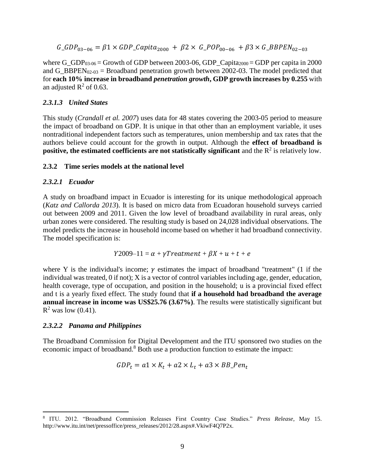$G_GDP_{03-06} = \beta_1 \times GDP_{02000} + \beta_2 \times G_{0200-06} + \beta_3 \times G_{0200-03}$ 

where G\_GDP<sub>03-06</sub> = Growth of GDP between 2003-06, GDP\_Capita<sub>2000</sub> = GDP per capita in 2000 and G\_BBPEN<sub>02-03</sub> = Broadband penetration growth between 2002-03. The model predicted that for **each 10% increase in broadband** *penetration growth***, GDP growth increases by 0.255** with an adjusted  $\mathbb{R}^2$  of 0.63.

#### *2.3.1.3 United States*

This study (*Crandall et al. 2007*) uses data for 48 states covering the 2003-05 period to measure the impact of broadband on GDP. It is unique in that other than an employment variable, it uses nontraditional independent factors such as temperatures, union membership and tax rates that the authors believe could account for the growth in output. Although the **effect of broadband is positive, the estimated coefficients are not statistically significant** and the  $R^2$  is relatively low.

#### **2.3.2 Time series models at the national level**

#### *2.3.2.1 Ecuador*

A study on broadband impact in Ecuador is interesting for its unique methodological approach (*Katz and Callorda 2013*). It is based on micro data from Ecuadoran household surveys carried out between 2009 and 2011. Given the low level of broadband availability in rural areas, only urban zones were considered. The resulting study is based on 24,028 individual observations. The model predicts the increase in household income based on whether it had broadband connectivity. The model specification is:

$$
Y2009-11 = \alpha + \gamma Treatment + \beta X + u + t + e
$$

where Y is the individual's income;  $\gamma$  estimates the impact of broadband "treatment" (1 if the individual was treated, 0 if not); X is a vector of control variables including age, gender, education, health coverage, type of occupation, and position in the household; u is a provincial fixed effect and t is a yearly fixed effect. The study found that **if a household had broadband the average annual increase in income was US\$25.76 (3.67%)**. The results were statistically significant but  $R^2$  was low (0.41).

#### *2.3.2.2 Panama and Philippines*

The Broadband Commission for Digital Development and the ITU sponsored two studies on the economic impact of broadband.<sup>8</sup> Both use a production function to estimate the impact:

$$
GDP_t = a1 \times K_t + a2 \times L_t + a3 \times BB\_Pen_t
$$

 8 ITU. 2012. "Broadband Commission Releases First Country Case Studies." *Press Release*, May 15. http://www.itu.int/net/pressoffice/press\_releases/2012/28.aspx#.VkiwF4Q7P2x.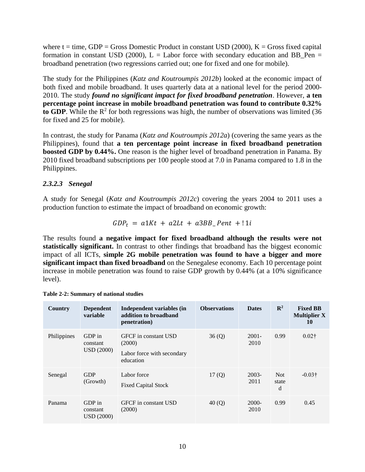where  $t = time$ , GDP = Gross Domestic Product in constant USD (2000),  $K =$  Gross fixed capital formation in constant USD (2000),  $L =$  Labor force with secondary education and BB Pen = broadband penetration (two regressions carried out; one for fixed and one for mobile).

The study for the Philippines (*Katz and Koutroumpis 2012b*) looked at the economic impact of both fixed and mobile broadband. It uses quarterly data at a national level for the period 2000- 2010. The study *found no significant impact for fixed broadband penetration*. However, **a ten percentage point increase in mobile broadband penetration was found to contribute 0.32%**  to GDP. While the  $R^2$  for both regressions was high, the number of observations was limited (36) for fixed and 25 for mobile).

In contrast, the study for Panama (*Katz and Koutroumpis 2012a*) (covering the same years as the Philippines), found that **a ten percentage point increase in fixed broadband penetration boosted GDP by 0.44%.** One reason is the higher level of broadband penetration in Panama. By 2010 fixed broadband subscriptions per 100 people stood at 7.0 in Panama compared to 1.8 in the Philippines.

#### *2.3.2.3 Senegal*

A study for Senegal (*Katz and Koutroumpis 2012c*) covering the years 2004 to 2011 uses a production function to estimate the impact of broadband on economic growth:

$$
GDP_t = a1Kt + a2Lt + a3BB_Pent + 11i
$$

The results found **a negative impact for fixed broadband although the results were not statistically significant.** In contrast to other findings that broadband has the biggest economic impact of all ICTs, **simple 2G mobile penetration was found to have a bigger and more significant impact than fixed broadband** on the Senegalese economy. Each 10 percentage point increase in mobile penetration was found to raise GDP growth by 0.44% (at a 10% significance level).

| Country     | <b>Dependent</b><br>variable            | Independent variables (in<br>addition to broadband<br>penetration)        | <b>Observations</b> | <b>Dates</b>     | $\mathbb{R}^2$     | <b>Fixed BB</b><br><b>Multiplier X</b><br>10 |
|-------------|-----------------------------------------|---------------------------------------------------------------------------|---------------------|------------------|--------------------|----------------------------------------------|
| Philippines | GDP in<br>constant<br><b>USD</b> (2000) | GFCF in constant USD<br>(2000)<br>Labor force with secondary<br>education | 36(Q)               | $2001 -$<br>2010 | 0.99               | $0.02\dagger$                                |
| Senegal     | <b>GDP</b><br>(Growth)                  | Labor force<br><b>Fixed Capital Stock</b>                                 | 17 $(Q)$            | $2003 -$<br>2011 | Not.<br>state<br>d | $-0.03\dagger$                               |
| Panama      | GDP in<br>constant<br><b>USD</b> (2000) | <b>GFCF</b> in constant USD<br>(2000)                                     | 40(Q)               | $2000 -$<br>2010 | 0.99               | 0.45                                         |

| Table 2-2: Summary of national studies |  |  |  |  |
|----------------------------------------|--|--|--|--|
|----------------------------------------|--|--|--|--|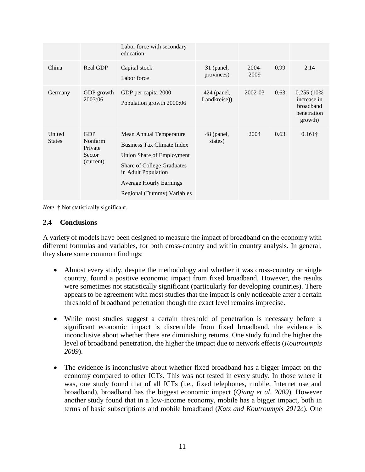|                         |                                                         | Labor force with secondary<br>education                                                                                                                                                                               |                             |                  |      |                                                                   |
|-------------------------|---------------------------------------------------------|-----------------------------------------------------------------------------------------------------------------------------------------------------------------------------------------------------------------------|-----------------------------|------------------|------|-------------------------------------------------------------------|
| China                   | Real GDP                                                | Capital stock<br>Labor force                                                                                                                                                                                          | 31 (panel,<br>provinces)    | $2004 -$<br>2009 | 0.99 | 2.14                                                              |
| Germany                 | GDP growth<br>2003:06                                   | GDP per capita 2000<br>Population growth 2000:06                                                                                                                                                                      | 424 (panel,<br>Landkreise)) | 2002-03          | 0.63 | 0.255 (10%)<br>increase in<br>broadband<br>penetration<br>growth) |
| United<br><b>States</b> | <b>GDP</b><br>Nonfarm<br>Private<br>Sector<br>(current) | Mean Annual Temperature<br><b>Business Tax Climate Index</b><br>Union Share of Employment<br><b>Share of College Graduates</b><br>in Adult Population<br><b>Average Hourly Earnings</b><br>Regional (Dummy) Variables | 48 (panel,<br>states)       | 2004             | 0.63 | $0.161\dagger$                                                    |

*Note*: † Not statistically significant.

#### **2.4 Conclusions**

A variety of models have been designed to measure the impact of broadband on the economy with different formulas and variables, for both cross-country and within country analysis. In general, they share some common findings:

- Almost every study, despite the methodology and whether it was cross-country or single country, found a positive economic impact from fixed broadband. However, the results were sometimes not statistically significant (particularly for developing countries). There appears to be agreement with most studies that the impact is only noticeable after a certain threshold of broadband penetration though the exact level remains imprecise.
- While most studies suggest a certain threshold of penetration is necessary before a significant economic impact is discernible from fixed broadband, the evidence is inconclusive about whether there are diminishing returns. One study found the higher the level of broadband penetration, the higher the impact due to network effects (*Koutroumpis 2009*).
- The evidence is inconclusive about whether fixed broadband has a bigger impact on the economy compared to other ICTs. This was not tested in every study. In those where it was, one study found that of all ICTs (i.e., fixed telephones, mobile, Internet use and broadband), broadband has the biggest economic impact (*Qiang et al. 2009*). However another study found that in a low-income economy, mobile has a bigger impact, both in terms of basic subscriptions and mobile broadband (*Katz and Koutroumpis 2012c*). One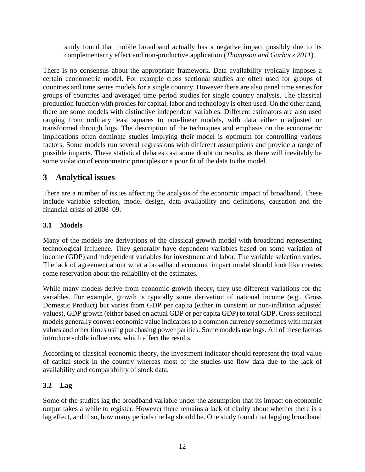study found that mobile broadband actually has a negative impact possibly due to its complementarity effect and non-productive application (*Thompson and Garbacz 2011*).

There is no consensus about the appropriate framework. Data availability typically imposes a certain econometric model. For example cross sectional studies are often used for groups of countries and time series models for a single country. However there are also panel time series for groups of countries and averaged time period studies for single country analysis. The classical production function with proxies for capital, labor and technology is often used. On the other hand, there are some models with distinctive independent variables. Different estimators are also used ranging from ordinary least squares to non-linear models, with data either unadjusted or transformed through logs. The description of the techniques and emphasis on the econometric implications often dominate studies implying their model is optimum for controlling various factors. Some models run several regressions with different assumptions and provide a range of possible impacts. These statistical debates cast some doubt on results, as there will inevitably be some violation of econometric principles or a poor fit of the data to the model.

### **3 Analytical issues**

There are a number of issues affecting the analysis of the economic impact of broadband. These include variable selection, model design, data availability and definitions, causation and the financial crisis of 2008–09.

#### **3.1 Models**

Many of the models are derivations of the classical growth model with broadband representing technological influence. They generally have dependent variables based on some variation of income (GDP) and independent variables for investment and labor. The variable selection varies. The lack of agreement about what a broadband economic impact model should look like creates some reservation about the reliability of the estimates.

While many models derive from economic growth theory, they use different variations for the variables. For example, growth is typically some derivation of national income (e.g., Gross Domestic Product) but varies from GDP per capita (either in constant or non-inflation adjusted values), GDP growth (either based on actual GDP or per capita GDP) to total GDP. Cross sectional models generally convert economic value indicators to a common currency sometimes with market values and other times using purchasing power parities. Some models use logs. All of these factors introduce subtle influences, which affect the results.

According to classical economic theory, the investment indicator should represent the total value of capital stock in the country whereas most of the studies use flow data due to the lack of availability and comparability of stock data.

#### **3.2 Lag**

Some of the studies lag the broadband variable under the assumption that its impact on economic output takes a while to register. However there remains a lack of clarity about whether there is a lag effect, and if so, how many periods the lag should be. One study found that lagging broadband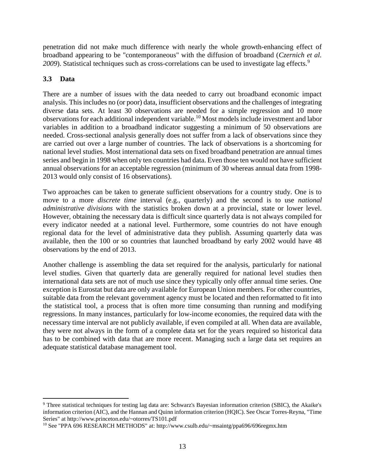penetration did not make much difference with nearly the whole growth-enhancing effect of broadband appearing to be "contemporaneous" with the diffusion of broadband (*Czernich et al.*  2009). Statistical techniques such as cross-correlations can be used to investigate lag effects.<sup>9</sup>

#### **3.3 Data**

 $\overline{a}$ 

There are a number of issues with the data needed to carry out broadband economic impact analysis. This includes no (or poor) data, insufficient observations and the challenges of integrating diverse data sets. At least 30 observations are needed for a simple regression and 10 more observations for each additional independent variable.<sup>10</sup> Most models include investment and labor variables in addition to a broadband indicator suggesting a minimum of 50 observations are needed. Cross-sectional analysis generally does not suffer from a lack of observations since they are carried out over a large number of countries. The lack of observations is a shortcoming for national level studies. Most international data sets on fixed broadband penetration are annual times series and begin in 1998 when only ten countries had data. Even those ten would not have sufficient annual observations for an acceptable regression (minimum of 30 whereas annual data from 1998- 2013 would only consist of 16 observations).

Two approaches can be taken to generate sufficient observations for a country study. One is to move to a more *discrete time* interval (e.g., quarterly) and the second is to use *national administrative divisions* with the statistics broken down at a provincial, state or lower level. However, obtaining the necessary data is difficult since quarterly data is not always compiled for every indicator needed at a national level. Furthermore, some countries do not have enough regional data for the level of administrative data they publish. Assuming quarterly data was available, then the 100 or so countries that launched broadband by early 2002 would have 48 observations by the end of 2013.

Another challenge is assembling the data set required for the analysis, particularly for national level studies. Given that quarterly data are generally required for national level studies then international data sets are not of much use since they typically only offer annual time series. One exception is Eurostat but data are only available for European Union members. For other countries, suitable data from the relevant government agency must be located and then reformatted to fit into the statistical tool, a process that is often more time consuming than running and modifying regressions. In many instances, particularly for low-income economies, the required data with the necessary time interval are not publicly available, if even compiled at all. When data are available, they were not always in the form of a complete data set for the years required so historical data has to be combined with data that are more recent. Managing such a large data set requires an adequate statistical database management tool.

<sup>&</sup>lt;sup>9</sup> Three statistical techniques for testing lag data are: Schwarz's Bayesian information criterion (SBIC), the Akaike's information criterion (AIC), and the Hannan and Quinn information criterion (HQIC). See Oscar Torres-Reyna, "Time Series" at http://www.princeton.edu/~otorres/TS101.pdf

<sup>10</sup> See "PPA 696 RESEARCH METHODS" at: http://www.csulb.edu/~msaintg/ppa696/696regmx.htm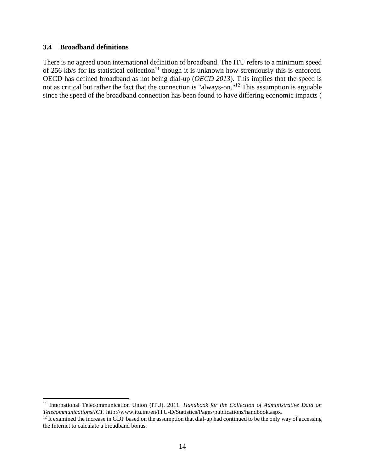#### **3.4 Broadband definitions**

 $\overline{a}$ 

There is no agreed upon international definition of broadband. The ITU refers to a minimum speed of 256 kb/s for its statistical collection<sup>11</sup> though it is unknown how strenuously this is enforced. OECD has defined broadband as not being dial-up (*OECD 2013*). This implies that the speed is not as critical but rather the fact that the connection is "always-on."<sup>12</sup> This assumption is arguable since the speed of the broadband connection has been found to have differing economic impacts [\(](#page-18-0)

<sup>11</sup> International Telecommunication Union (ITU). 2011. *Handbook for the Collection of Administrative Data on Telecommunications/ICT*. http://www.itu.int/en/ITU-D/Statistics/Pages/publications/handbook.aspx.

 $12$  It examined the increase in GDP based on the assumption that dial-up had continued to be the only way of accessing the Internet to calculate a broadband bonus.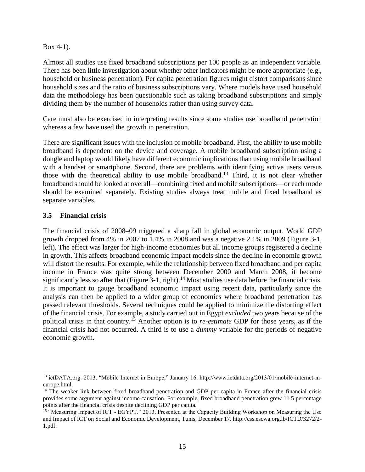[Box](#page-18-0) 4-1).

Almost all studies use fixed broadband subscriptions per 100 people as an independent variable. There has been little investigation about whether other indicators might be more appropriate (e.g., household or business penetration). Per capita penetration figures might distort comparisons since household sizes and the ratio of business subscriptions vary. Where models have used household data the methodology has been questionable such as taking broadband subscriptions and simply dividing them by the number of households rather than using survey data.

Care must also be exercised in interpreting results since some studies use broadband penetration whereas a few have used the growth in penetration.

There are significant issues with the inclusion of mobile broadband. First, the ability to use mobile broadband is dependent on the device and coverage. A mobile broadband subscription using a dongle and laptop would likely have different economic implications than using mobile broadband with a handset or smartphone. Second, there are problems with identifying active users versus those with the theoretical ability to use mobile broadband.<sup>13</sup> Third, it is not clear whether broadband should be looked at overall—combining fixed and mobile subscriptions—or each mode should be examined separately. Existing studies always treat mobile and fixed broadband as separate variables.

#### **3.5 Financial crisis**

The financial crisis of 2008–09 triggered a sharp fall in global economic output. World GDP growth dropped from 4% in 2007 to 1.4% in 2008 and was a negative 2.1% in 2009 (Figure 3-1, left). The effect was larger for high-income economies but all income groups registered a decline in growth. This affects broadband economic impact models since the decline in economic growth will distort the results. For example, while the relationship between fixed broadband and per capita income in France was quite strong between December 2000 and March 2008, it become significantly less so after that (Figure 3-1, right).<sup>14</sup> Most studies use data before the financial crisis. It is important to gauge broadband economic impact using recent data, particularly since the analysis can then be applied to a wider group of economies where broadband penetration has passed relevant thresholds. Several techniques could be applied to minimize the distorting effect of the financial crisis. For example, a study carried out in Egypt *excluded* two years because of the political crisis in that country.<sup>15</sup> Another option is to *re-estimate* GDP for those years, as if the financial crisis had not occurred. A third is to use a *dummy* variable for the periods of negative economic growth.

 $\overline{a}$ <sup>13</sup> ictDATA.org. 2013. "Mobile Internet in Europe," January 16. http://www.ictdata.org/2013/01/mobile-internet-ineurope.html.

<sup>&</sup>lt;sup>14</sup> The weaker link between fixed broadband penetration and GDP per capita in France after the financial crisis provides some argument against income causation. For example, fixed broadband penetration grew 11.5 percentage points after the financial crisis despite declining GDP per capita.

<sup>15</sup> "Measuring Impact of ICT - EGYPT." 2013. Presented at the Capacity Building Workshop on Measuring the Use and Impact of ICT on Social and Economic Development, Tunis, December 17. http://css.escwa.org.lb/ICTD/3272/2- 1.pdf.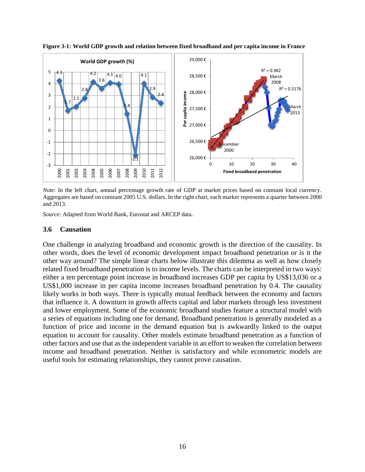

**Figure 3-1: World GDP growth and relation between fixed broadband and per capita income in France**

*Note*: In the left chart, annual percentage growth rate of GDP at market prices based on constant local currency. Aggregates are based on constant 2005 U.S. dollars. In the right chart, each marker represents a quarter between 2000 and 2013.

*Source*: Adapted from World Bank, Eurostat and ARCEP data.

#### **3.6 Causation**

One challenge in analyzing broadband and economic growth is the direction of the causality. In other words, does the level of economic development impact broadband penetration or is it the other way around? The simple linear charts below illustrate this dilemma as well as how closely related fixed broadband penetration is to income levels. The charts can be interpreted in two ways: either a ten percentage point increase in broadband increases GDP per capita by US\$13,036 or a US\$1,000 increase in per capita income increases broadband penetration by 0.4. The causality likely works in both ways. There is typically mutual feedback between the economy and factors that influence it. A downturn in growth affects capital and labor markets through less investment and lower employment. Some of the economic broadband studies feature a structural model with a series of equations including one for demand. Broadband penetration is generally modeled as a function of price and income in the demand equation but is awkwardly linked to the output equation to account for causality. Other models estimate broadband penetration as a function of other factors and use that as the independent variable in an effort to weaken the correlation between income and broadband penetration. Neither is satisfactory and while econometric models are useful tools for estimating relationships, they cannot prove causation.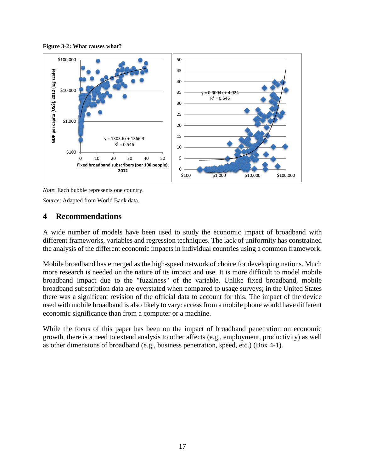



*Note*: Each bubble represents one country.

*Source*: Adapted from World Bank data.

#### **4 Recommendations**

A wide number of models have been used to study the economic impact of broadband with different frameworks, variables and regression techniques. The lack of uniformity has constrained the analysis of the different economic impacts in individual countries using a common framework.

Mobile broadband has emerged as the high-speed network of choice for developing nations. Much more research is needed on the nature of its impact and use. It is more difficult to model mobile broadband impact due to the "fuzziness" of the variable. Unlike fixed broadband, mobile broadband subscription data are overstated when compared to usage surveys; in the United States there was a significant revision of the official data to account for this. The impact of the device used with mobile broadband is also likely to vary: access from a mobile phone would have different economic significance than from a computer or a machine.

<span id="page-18-0"></span>While the focus of this paper has been on the impact of broadband penetration on economic growth, there is a need to extend analysis to other affects (e.g., employment, productivity) as well as other dimensions of broadband (e.g., business penetration, speed, etc.) (Box 4-1).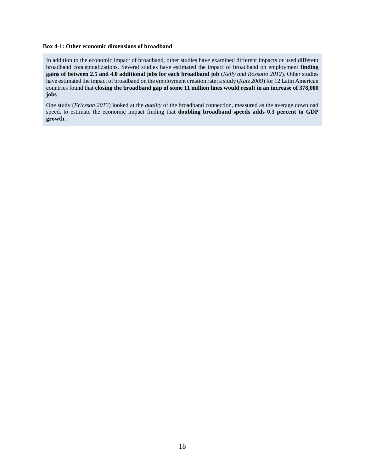#### **Box 4-1: Other economic dimensions of broadband**

In addition to the economic impact of broadband, other studies have examined different impacts or used different broadband conceptualizations. Several studies have estimated the impact of broadband on employment **finding gains of between 2.5 and 4.0 additional jobs for each broadband job** (*Kelly and Rossotto 2012*). Other studies have estimated the impact of broadband on the employment creation rate; a study (*Katz 2009*) for 12 Latin American countries found that **closing the broadband gap of some 11 million lines would result in an increase of 378,000 jobs**.

One study (*Ericsson 2013*) looked at the *quality* of the broadband connection, measured as the average download speed, to estimate the economic impact finding that **doubling broadband speeds adds 0.3 percent to GDP growth**.